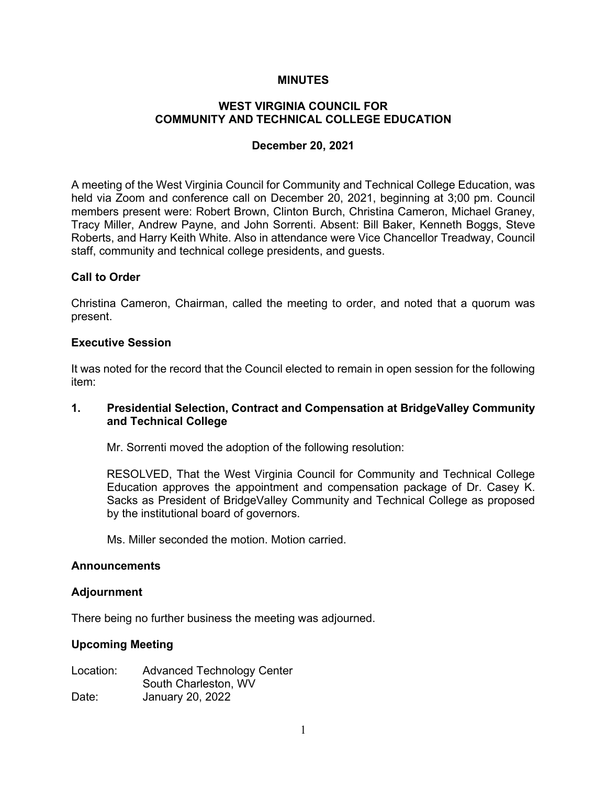### **MINUTES**

# **WEST VIRGINIA COUNCIL FOR COMMUNITY AND TECHNICAL COLLEGE EDUCATION**

### **December 20, 2021**

A meeting of the West Virginia Council for Community and Technical College Education, was held via Zoom and conference call on December 20, 2021, beginning at 3;00 pm. Council members present were: Robert Brown, Clinton Burch, Christina Cameron, Michael Graney, Tracy Miller, Andrew Payne, and John Sorrenti. Absent: Bill Baker, Kenneth Boggs, Steve Roberts, and Harry Keith White. Also in attendance were Vice Chancellor Treadway, Council staff, community and technical college presidents, and guests.

### **Call to Order**

Christina Cameron, Chairman, called the meeting to order, and noted that a quorum was present.

#### **Executive Session**

It was noted for the record that the Council elected to remain in open session for the following item:

## **1. Presidential Selection, Contract and Compensation at BridgeValley Community and Technical College**

Mr. Sorrenti moved the adoption of the following resolution:

RESOLVED, That the West Virginia Council for Community and Technical College Education approves the appointment and compensation package of Dr. Casey K. Sacks as President of BridgeValley Community and Technical College as proposed by the institutional board of governors.

Ms. Miller seconded the motion. Motion carried.

#### **Announcements**

#### **Adjournment**

There being no further business the meeting was adjourned.

#### **Upcoming Meeting**

Location: Advanced Technology Center South Charleston, WV Date: January 20, 2022